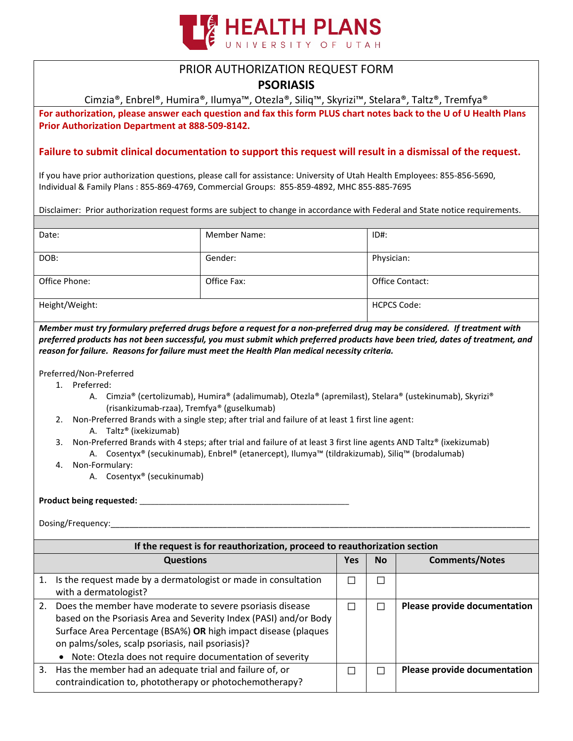

## PRIOR AUTHORIZATION REQUEST FORM

## **PSORIASIS**

Cimzia®, Enbrel®, Humira®, Ilumya™, Otezla®, Siliq™, Skyrizi™, Stelara®, Taltz®, Tremfya®

**For authorization, please answer each question and fax this form PLUS chart notes back to the U of U Health Plans Prior Authorization Department at 888-509-8142.** 

## **Failure to submit clinical documentation to support this request will result in a dismissal of the request.**

If you have prior authorization questions, please call for assistance: University of Utah Health Employees: 855-856-5690, Individual & Family Plans : 855-869-4769, Commercial Groups: 855-859-4892, MHC 855-885-7695

Disclaimer: Prior authorization request forms are subject to change in accordance with Federal and State notice requirements.

| Date:          | <b>Member Name:</b> | ID#:            |
|----------------|---------------------|-----------------|
| DOB:           | Gender:             | Physician:      |
| Office Phone:  | Office Fax:         | Office Contact: |
| Height/Weight: | <b>HCPCS Code:</b>  |                 |

*Member must try formulary preferred drugs before a request for a non-preferred drug may be considered. If treatment with preferred products has not been successful, you must submit which preferred products have been tried, dates of treatment, and reason for failure. Reasons for failure must meet the Health Plan medical necessity criteria.*

Preferred/Non-Preferred

- 1. Preferred:
	- A. Cimzia® (certolizumab), Humira® (adalimumab), Otezla® (apremilast), Stelara® (ustekinumab), Skyrizi® (risankizumab-rzaa), Tremfya® (guselkumab)
- 2. Non-Preferred Brands with a single step; after trial and failure of at least 1 first line agent:
	- A. Taltz® (ixekizumab)
- 3. Non-Preferred Brands with 4 steps; after trial and failure of at least 3 first line agents AND Taltz® (ixekizumab)
	- A. Cosentyx® (secukinumab), Enbrel® (etanercept), Ilumya™ (tildrakizumab), Siliq™ (brodalumab)
- 4. Non-Formulary:
	- A. Cosentyx® (secukinumab)

### **Product being requested:** \_\_\_\_\_\_\_\_\_\_\_\_\_\_\_\_\_\_\_\_\_\_\_\_\_\_\_\_\_\_\_\_\_\_\_\_\_\_\_\_\_\_\_\_\_\_\_\_\_\_\_\_\_\_

Dosing/Frequency:

| If the request is for reauthorization, proceed to reauthorization section |                                                                                                                                                                                                                                                                                                                  |     |               |                              |  |
|---------------------------------------------------------------------------|------------------------------------------------------------------------------------------------------------------------------------------------------------------------------------------------------------------------------------------------------------------------------------------------------------------|-----|---------------|------------------------------|--|
|                                                                           | <b>Questions</b>                                                                                                                                                                                                                                                                                                 | Yes | <b>No</b>     | <b>Comments/Notes</b>        |  |
|                                                                           | Is the request made by a dermatologist or made in consultation<br>with a dermatologist?                                                                                                                                                                                                                          |     | $\mathcal{L}$ |                              |  |
| 2.                                                                        | Does the member have moderate to severe psoriasis disease<br>based on the Psoriasis Area and Severity Index (PASI) and/or Body<br>Surface Area Percentage (BSA%) OR high impact disease (plaques<br>on palms/soles, scalp psoriasis, nail psoriasis)?<br>Note: Otezla does not require documentation of severity |     |               | Please provide documentation |  |
| 3.                                                                        | Has the member had an adequate trial and failure of, or<br>contraindication to, phototherapy or photochemotherapy?                                                                                                                                                                                               |     |               | Please provide documentation |  |